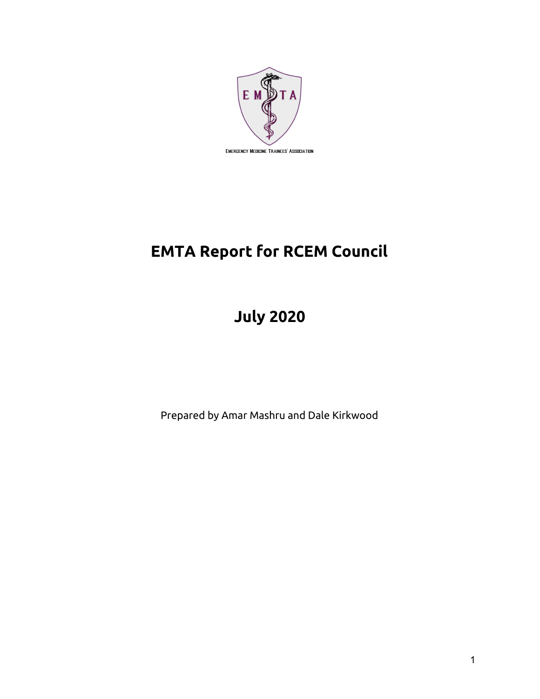

# **EMTA Report for RCEM Council**

# **July 2020**

Prepared by Amar Mashru and Dale Kirkwood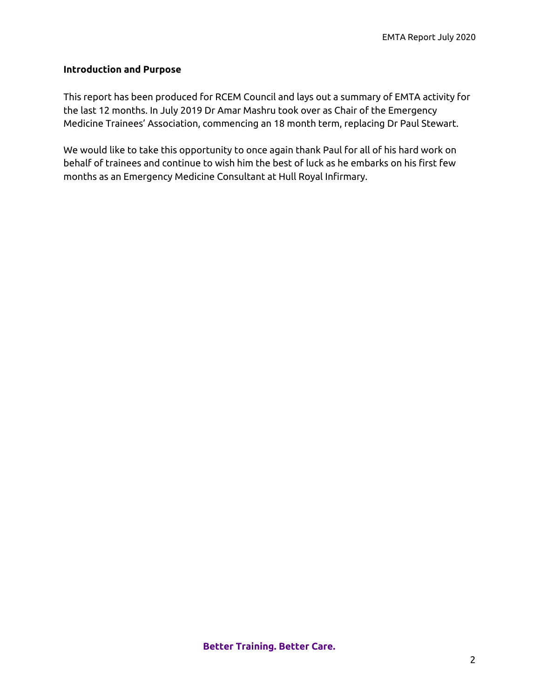## **Introduction and Purpose**

This report has been produced for RCEM Council and lays out a summary of EMTA activity for the last 12 months. In July 2019 Dr Amar Mashru took over as Chair of the Emergency Medicine Trainees' Association, commencing an 18 month term, replacing Dr Paul Stewart.

We would like to take this opportunity to once again thank Paul for all of his hard work on behalf of trainees and continue to wish him the best of luck as he embarks on his first few months as an Emergency Medicine Consultant at Hull Royal Infirmary.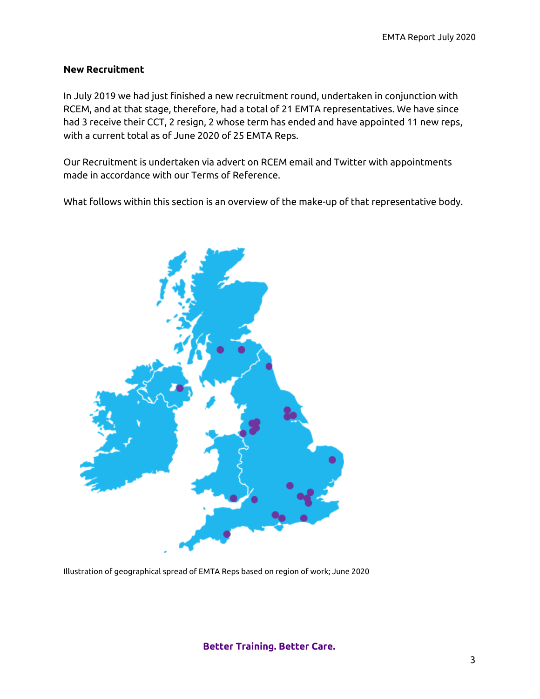#### **New Recruitment**

In July 2019 we had just finished a new recruitment round, undertaken in conjunction with RCEM, and at that stage, therefore, had a total of 21 EMTA representatives. We have since had 3 receive their CCT, 2 resign, 2 whose term has ended and have appointed 11 new reps, with a current total as of June 2020 of 25 EMTA Reps.

Our Recruitment is undertaken via advert on RCEM email and Twitter with appointments made in accordance with our Terms of Reference.

What follows within this section is an overview of the make-up of that representative body.



Illustration of geographical spread of EMTA Reps based on region of work; June 2020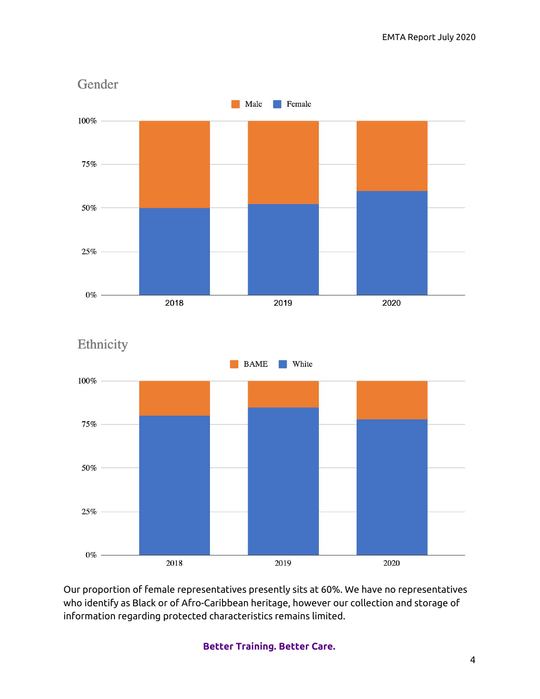



Our proportion of female representatives presently sits at 60%. We have no representatives who identify as Black or of Afro-Caribbean heritage, however our collection and storage of information regarding protected characteristics remains limited.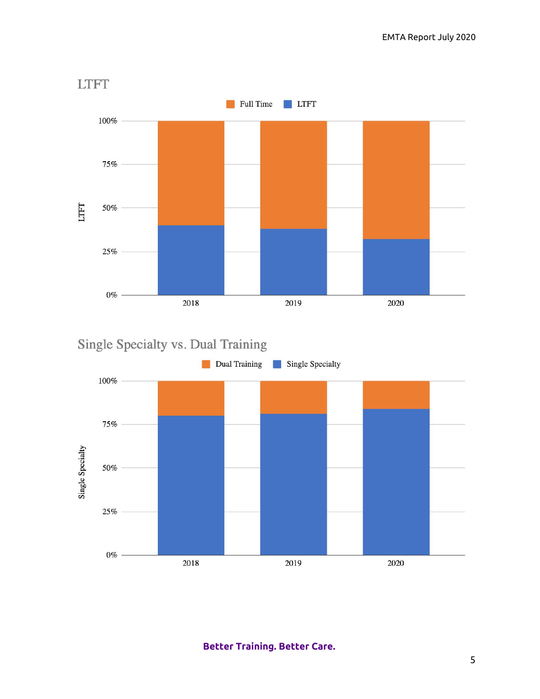

Single Specialty vs. Dual Training

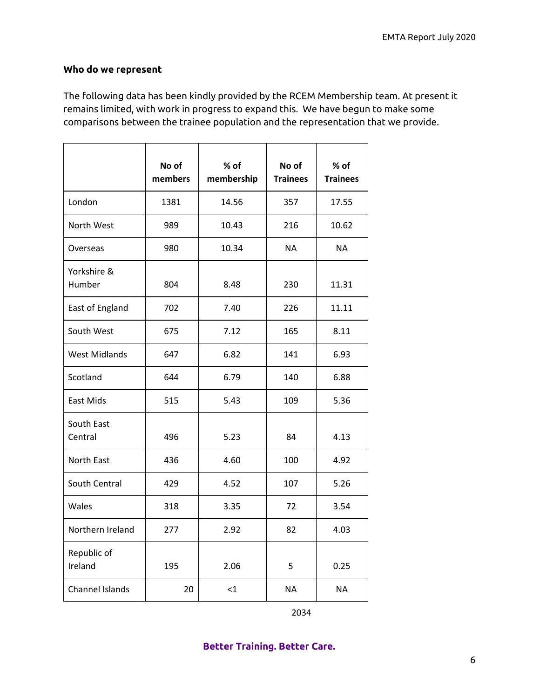# **Who do we represent**

The following data has been kindly provided by the RCEM Membership team. At present it remains limited, with work in progress to expand this. We have begun to make some comparisons between the trainee population and the representation that we provide.

|                        | No of<br>members | % of<br>membership | No of<br><b>Trainees</b> | $%$ of<br><b>Trainees</b> |
|------------------------|------------------|--------------------|--------------------------|---------------------------|
| London                 | 1381             | 14.56              | 357                      | 17.55                     |
| North West             | 989              | 10.43              | 216                      | 10.62                     |
| Overseas               | 980              | 10.34              | <b>NA</b>                | <b>NA</b>                 |
| Yorkshire &<br>Humber  | 804              | 8.48               | 230                      | 11.31                     |
| East of England        | 702              | 7.40               | 226                      | 11.11                     |
| South West             | 675              | 7.12               | 165                      | 8.11                      |
| <b>West Midlands</b>   | 647              | 6.82               | 141                      | 6.93                      |
| Scotland               | 644              | 6.79               | 140                      | 6.88                      |
| East Mids              | 515              | 5.43               | 109                      | 5.36                      |
| South East<br>Central  | 496              | 5.23               | 84                       | 4.13                      |
| North East             | 436              | 4.60               | 100                      | 4.92                      |
| South Central          | 429              | 4.52               | 107                      | 5.26                      |
| Wales                  | 318              | 3.35               | 72                       | 3.54                      |
| Northern Ireland       | 277              | 2.92               | 82                       | 4.03                      |
| Republic of<br>Ireland | 195              | 2.06               | 5                        | 0.25                      |
| <b>Channel Islands</b> | 20               | $\leq$ 1           | <b>NA</b>                | <b>NA</b>                 |

2034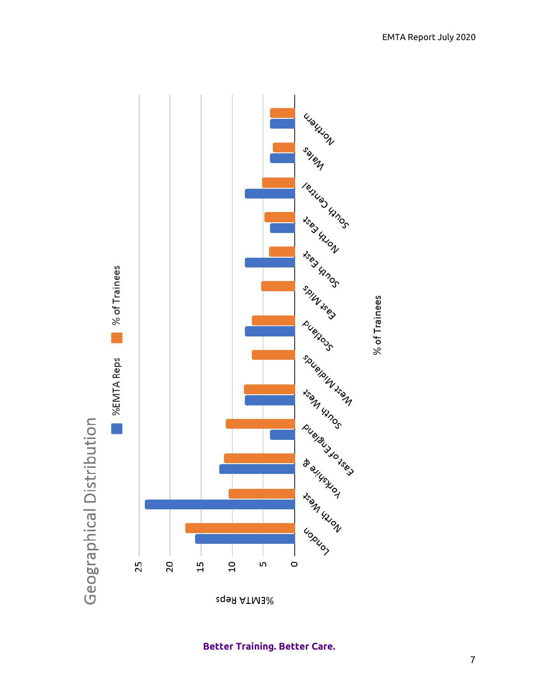

**Better Training. Better Care.**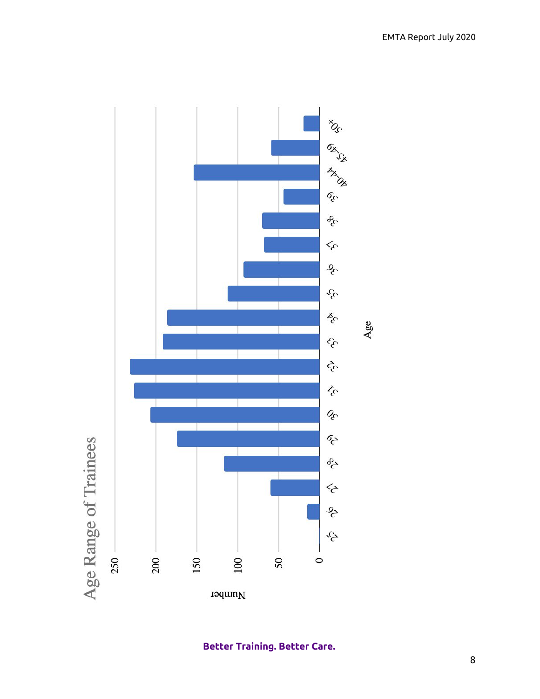

**Better Training. Better Care.**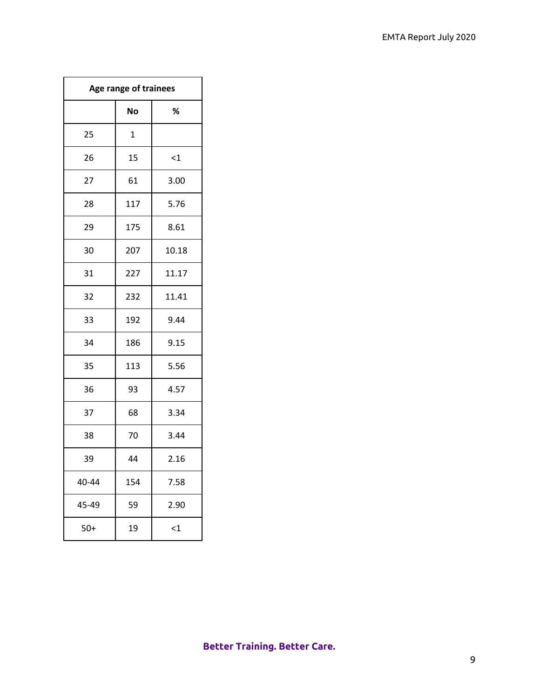| Age range of trainees |     |          |  |  |
|-----------------------|-----|----------|--|--|
|                       | No  | $\%$     |  |  |
| 25                    | 1   |          |  |  |
| 26                    | 15  | $\leq$ 1 |  |  |
| 27                    | 61  | 3.00     |  |  |
| 28                    | 117 | 5.76     |  |  |
| 29                    | 175 | 8.61     |  |  |
| 30                    | 207 | 10.18    |  |  |
| 31                    | 227 | 11.17    |  |  |
| 32                    | 232 | 11.41    |  |  |
| 33                    | 192 | 9.44     |  |  |
| 34                    | 186 | 9.15     |  |  |
| 35                    | 113 | 5.56     |  |  |
| 36                    | 93  | 4.57     |  |  |
| 37                    | 68  | 3.34     |  |  |
| 38                    | 70  | 3.44     |  |  |
| 39                    | 44  | 2.16     |  |  |
| 40-44                 | 154 | 7.58     |  |  |
| 45-49                 | 59  | 2.90     |  |  |
| $50+$                 | 19  | $\leq$ 1 |  |  |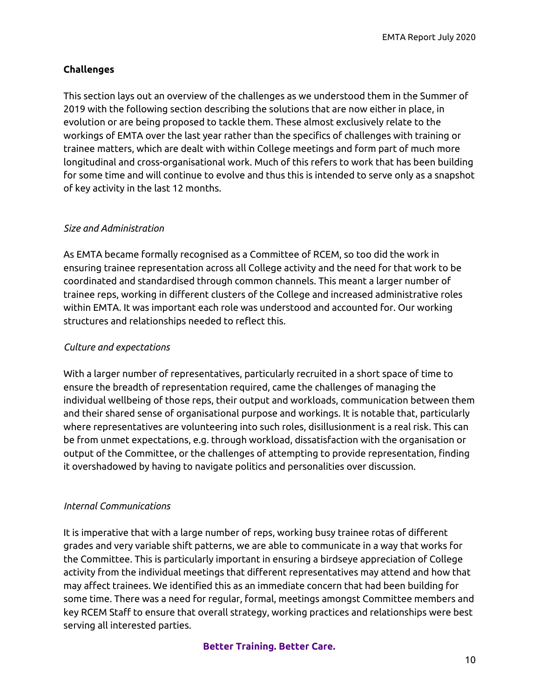EMTA Report July 2020

# **Challenges**

This section lays out an overview of the challenges as we understood them in the Summer of 2019 with the following section describing the solutions that are now either in place, in evolution or are being proposed to tackle them. These almost exclusively relate to the workings of EMTA over the last year rather than the specifics of challenges with training or trainee matters, which are dealt with within College meetings and form part of much more longitudinal and cross-organisational work. Much of this refers to work that has been building for some time and will continue to evolve and thus this is intended to serve only as a snapshot of key activity in the last 12 months.

## *Size and Administration*

As EMTA became formally recognised as a Committee of RCEM, so too did the work in ensuring trainee representation across all College activity and the need for that work to be coordinated and standardised through common channels. This meant a larger number of trainee reps, working in different clusters of the College and increased administrative roles within EMTA. It was important each role was understood and accounted for. Our working structures and relationships needed to reflect this.

## *Culture and expectations*

With a larger number of representatives, particularly recruited in a short space of time to ensure the breadth of representation required, came the challenges of managing the individual wellbeing of those reps, their output and workloads, communication between them and their shared sense of organisational purpose and workings. It is notable that, particularly where representatives are volunteering into such roles, disillusionment is a real risk. This can be from unmet expectations, e.g. through workload, dissatisfaction with the organisation or output of the Committee, or the challenges of attempting to provide representation, finding it overshadowed by having to navigate politics and personalities over discussion.

## *Internal Communications*

It is imperative that with a large number of reps, working busy trainee rotas of different grades and very variable shift patterns, we are able to communicate in a way that works for the Committee. This is particularly important in ensuring a birdseye appreciation of College activity from the individual meetings that different representatives may attend and how that may affect trainees. We identified this as an immediate concern that had been building for some time. There was a need for regular, formal, meetings amongst Committee members and key RCEM Staff to ensure that overall strategy, working practices and relationships were best serving all interested parties.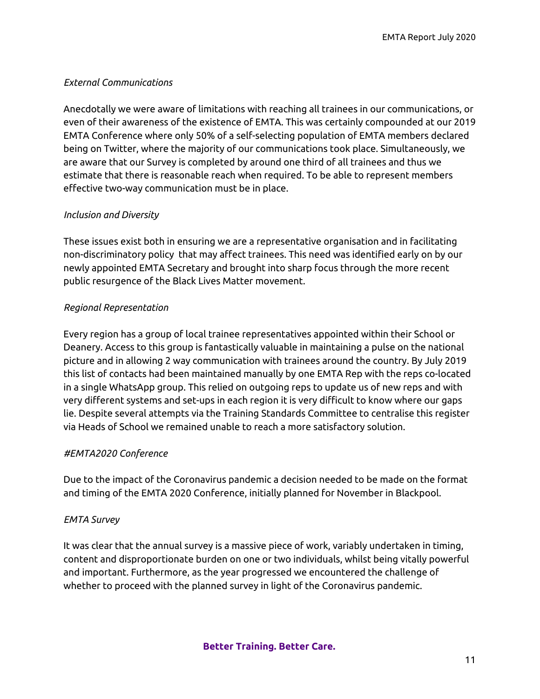# *External Communications*

Anecdotally we were aware of limitations with reaching all trainees in our communications, or even of their awareness of the existence of EMTA. This was certainly compounded at our 2019 EMTA Conference where only 50% of a self-selecting population of EMTA members declared being on Twitter, where the majority of our communications took place. Simultaneously, we are aware that our Survey is completed by around one third of all trainees and thus we estimate that there is reasonable reach when required. To be able to represent members effective two-way communication must be in place.

# *Inclusion and Diversity*

These issues exist both in ensuring we are a representative organisation and in facilitating non-discriminatory policy that may affect trainees. This need was identified early on by our newly appointed EMTA Secretary and brought into sharp focus through the more recent public resurgence of the Black Lives Matter movement.

# *Regional Representation*

Every region has a group of local trainee representatives appointed within their School or Deanery. Access to this group is fantastically valuable in maintaining a pulse on the national picture and in allowing 2 way communication with trainees around the country. By July 2019 this list of contacts had been maintained manually by one EMTA Rep with the reps co-located in a single WhatsApp group. This relied on outgoing reps to update us of new reps and with very different systems and set-ups in each region it is very difficult to know where our gaps lie. Despite several attempts via the Training Standards Committee to centralise this register via Heads of School we remained unable to reach a more satisfactory solution.

## *#EMTA2020 Conference*

Due to the impact of the Coronavirus pandemic a decision needed to be made on the format and timing of the EMTA 2020 Conference, initially planned for November in Blackpool.

# *EMTA Survey*

It was clear that the annual survey is a massive piece of work, variably undertaken in timing, content and disproportionate burden on one or two individuals, whilst being vitally powerful and important. Furthermore, as the year progressed we encountered the challenge of whether to proceed with the planned survey in light of the Coronavirus pandemic.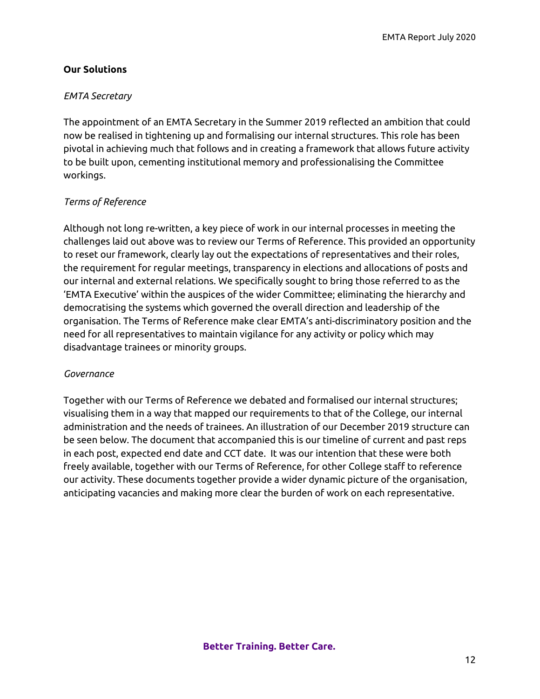# **Our Solutions**

## *EMTA Secretary*

The appointment of an EMTA Secretary in the Summer 2019 reflected an ambition that could now be realised in tightening up and formalising our internal structures. This role has been pivotal in achieving much that follows and in creating a framework that allows future activity to be built upon, cementing institutional memory and professionalising the Committee workings.

# *Terms of Reference*

Although not long re-written, a key piece of work in our internal processes in meeting the challenges laid out above was to review our Terms of Reference. This provided an opportunity to reset our framework, clearly lay out the expectations of representatives and their roles, the requirement for regular meetings, transparency in elections and allocations of posts and our internal and external relations. We specifically sought to bring those referred to as the 'EMTA Executive' within the auspices of the wider Committee; eliminating the hierarchy and democratising the systems which governed the overall direction and leadership of the organisation. The Terms of Reference make clear EMTA's anti-discriminatory position and the need for all representatives to maintain vigilance for any activity or policy which may disadvantage trainees or minority groups.

## *Governance*

Together with our Terms of Reference we debated and formalised our internal structures; visualising them in a way that mapped our requirements to that of the College, our internal administration and the needs of trainees. An illustration of our December 2019 structure can be seen below. The document that accompanied this is our timeline of current and past reps in each post, expected end date and CCT date. It was our intention that these were both freely available, together with our Terms of Reference, for other College staff to reference our activity. These documents together provide a wider dynamic picture of the organisation, anticipating vacancies and making more clear the burden of work on each representative.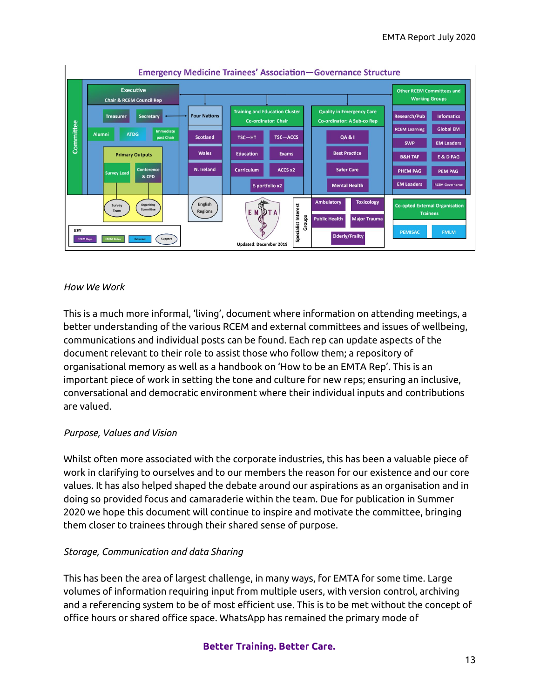

#### *How We Work*

This is a much more informal, 'living', document where information on attending meetings, a better understanding of the various RCEM and external committees and issues of wellbeing, communications and individual posts can be found. Each rep can update aspects of the document relevant to their role to assist those who follow them; a repository of organisational memory as well as a handbook on 'How to be an EMTA Rep'. This is an important piece of work in setting the tone and culture for new reps; ensuring an inclusive, conversational and democratic environment where their individual inputs and contributions are valued.

## *Purpose, Values and Vision*

Whilst often more associated with the corporate industries, this has been a valuable piece of work in clarifying to ourselves and to our members the reason for our existence and our core values. It has also helped shaped the debate around our aspirations as an organisation and in doing so provided focus and camaraderie within the team. Due for publication in Summer 2020 we hope this document will continue to inspire and motivate the committee, bringing them closer to trainees through their shared sense of purpose.

## *Storage, Communication and data Sharing*

This has been the area of largest challenge, in many ways, for EMTA for some time. Large volumes of information requiring input from multiple users, with version control, archiving and a referencing system to be of most efficient use. This is to be met without the concept of office hours or shared office space. WhatsApp has remained the primary mode of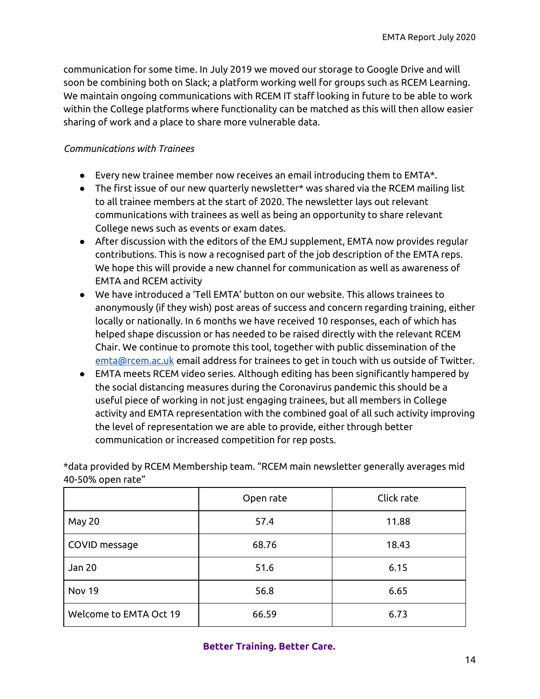communication for some time. In July 2019 we moved our storage to Google Drive and will soon be combining both on Slack; a platform working well for groups such as RCEM Learning. We maintain ongoing communications with RCEM IT staff looking in future to be able to work within the College platforms where functionality can be matched as this will then allow easier sharing of work and a place to share more vulnerable data.

# *Communications with Trainees*

- Every new trainee member now receives an email introducing them to EMTA\*.
- The first issue of our new quarterly newsletter\* was shared via the RCEM mailing list to all trainee members at the start of 2020. The newsletter lays out relevant communications with trainees as well as being an opportunity to share relevant College news such as events or exam dates.
- After discussion with the editors of the EMJ supplement, EMTA now provides regular contributions. This is now a recognised part of the job description of the EMTA reps. We hope this will provide a new channel for communication as well as awareness of EMTA and RCEM activity
- We have introduced a 'Tell EMTA' button on our website. This allows trainees to anonymously (if they wish) post areas of success and concern regarding training, either locally or nationally. In 6 months we have received 10 responses, each of which has helped shape discussion or has needed to be raised directly with the relevant RCEM Chair. We continue to promote this tool, together with public dissemination of the [emta@rcem.ac.uk](mailto:emta@rcem.ac.uk) email address for trainees to get in touch with us outside of Twitter.
- EMTA meets RCEM video series. Although editing has been significantly hampered by the social distancing measures during the Coronavirus pandemic this should be a useful piece of working in not just engaging trainees, but all members in College activity and EMTA representation with the combined goal of all such activity improving the level of representation we are able to provide, either through better communication or increased competition for rep posts.

\*data provided by RCEM Membership team. "RCEM main newsletter generally averages mid 40-50% open rate"

|                        | Open rate | Click rate |
|------------------------|-----------|------------|
| May 20                 | 57.4      | 11.88      |
| COVID message          | 68.76     | 18.43      |
| Jan 20                 | 51.6      | 6.15       |
| <b>Nov 19</b>          | 56.8      | 6.65       |
| Welcome to EMTA Oct 19 | 66.59     | 6.73       |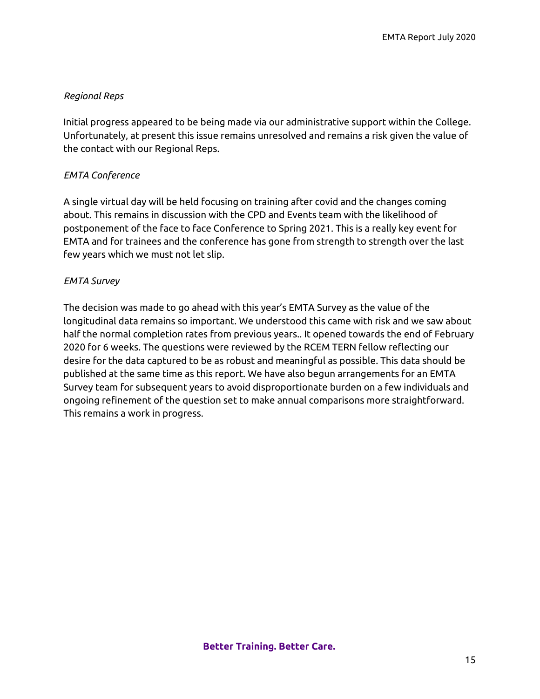# *Regional Reps*

Initial progress appeared to be being made via our administrative support within the College. Unfortunately, at present this issue remains unresolved and remains a risk given the value of the contact with our Regional Reps.

# *EMTA Conference*

A single virtual day will be held focusing on training after covid and the changes coming about. This remains in discussion with the CPD and Events team with the likelihood of postponement of the face to face Conference to Spring 2021. This is a really key event for EMTA and for trainees and the conference has gone from strength to strength over the last few years which we must not let slip.

# *EMTA Survey*

The decision was made to go ahead with this year's EMTA Survey as the value of the longitudinal data remains so important. We understood this came with risk and we saw about half the normal completion rates from previous years.. It opened towards the end of February 2020 for 6 weeks. The questions were reviewed by the RCEM TERN fellow reflecting our desire for the data captured to be as robust and meaningful as possible. This data should be published at the same time as this report. We have also begun arrangements for an EMTA Survey team for subsequent years to avoid disproportionate burden on a few individuals and ongoing refinement of the question set to make annual comparisons more straightforward. This remains a work in progress.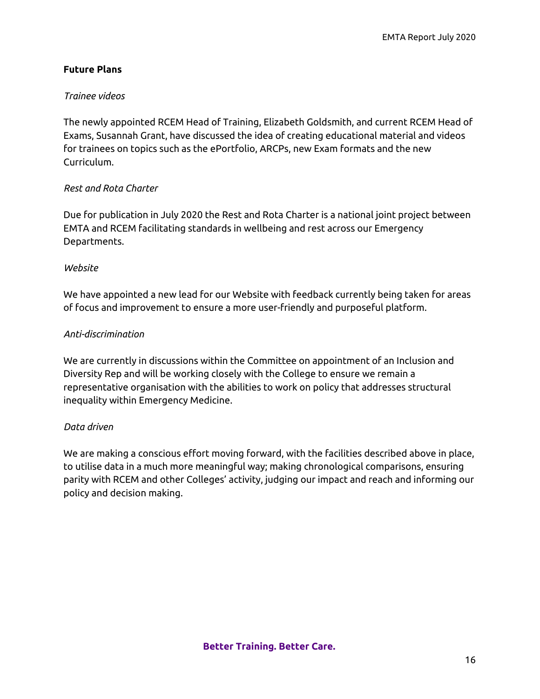# **Future Plans**

## *Trainee videos*

The newly appointed RCEM Head of Training, Elizabeth Goldsmith, and current RCEM Head of Exams, Susannah Grant, have discussed the idea of creating educational material and videos for trainees on topics such as the ePortfolio, ARCPs, new Exam formats and the new Curriculum.

## *Rest and Rota Charter*

Due for publication in July 2020 the Rest and Rota Charter is a national joint project between EMTA and RCEM facilitating standards in wellbeing and rest across our Emergency Departments.

## *Website*

We have appointed a new lead for our Website with feedback currently being taken for areas of focus and improvement to ensure a more user-friendly and purposeful platform.

# *Anti-discrimination*

We are currently in discussions within the Committee on appointment of an Inclusion and Diversity Rep and will be working closely with the College to ensure we remain a representative organisation with the abilities to work on policy that addresses structural inequality within Emergency Medicine.

## *Data driven*

We are making a conscious effort moving forward, with the facilities described above in place, to utilise data in a much more meaningful way; making chronological comparisons, ensuring parity with RCEM and other Colleges' activity, judging our impact and reach and informing our policy and decision making.